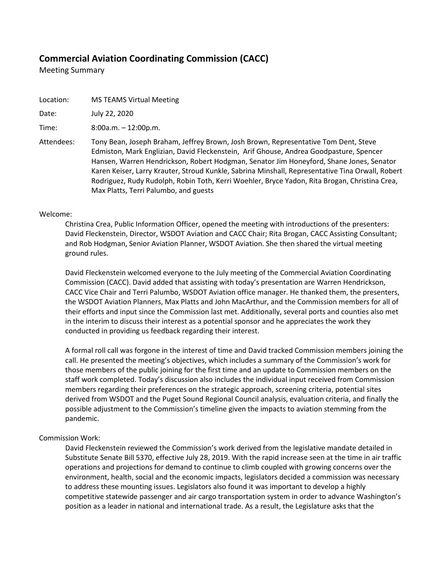# **Commercial Aviation Coordinating Commission (CACC)**

Meeting Summary

Location: MS TEAMS Virtual Meeting

Date: July 22, 2020

Time: 8:00a.m. – 12:00p.m.

Attendees: Tony Bean, Joseph Braham, Jeffrey Brown, Josh Brown, Representative Tom Dent, Steve Edmiston, Mark Englizian, David Fleckenstein, Arif Ghouse, Andrea Goodpasture, Spencer Hansen, Warren Hendrickson, Robert Hodgman, Senator Jim Honeyford, Shane Jones, Senator Karen Keiser, Larry Krauter, Stroud Kunkle, Sabrina Minshall, Representative Tina Orwall, Robert Rodriguez, Rudy Rudolph, Robin Toth, Kerri Woehler, Bryce Yadon, Rita Brogan, Christina Crea, Max Platts, Terri Palumbo, and guests

#### Welcome:

Christina Crea, Public Information Officer, opened the meeting with introductions of the presenters: David Fleckenstein, Director, WSDOT Aviation and CACC Chair; Rita Brogan, CACC Assisting Consultant; and Rob Hodgman, Senior Aviation Planner, WSDOT Aviation. She then shared the virtual meeting ground rules.

David Fleckenstein welcomed everyone to the July meeting of the Commercial Aviation Coordinating Commission (CACC). David added that assisting with today's presentation are Warren Hendrickson, CACC Vice Chair and Terri Palumbo, WSDOT Aviation office manager. He thanked them, the presenters, the WSDOT Aviation Planners, Max Platts and John MacArthur, and the Commission members for all of their efforts and input since the Commission last met. Additionally, several ports and counties also met in the interim to discuss their interest as a potential sponsor and he appreciates the work they conducted in providing us feedback regarding their interest.

A formal roll call was forgone in the interest of time and David tracked Commission members joining the call. He presented the meeting's objectives, which includes a summary of the Commission's work for those members of the public joining for the first time and an update to Commission members on the staff work completed. Today's discussion also includes the individual input received from Commission members regarding their preferences on the strategic approach, screening criteria, potential sites derived from WSDOT and the Puget Sound Regional Council analysis, evaluation criteria, and finally the possible adjustment to the Commission's timeline given the impacts to aviation stemming from the pandemic.

#### Commission Work:

David Fleckenstein reviewed the Commission's work derived from the legislative mandate detailed in Substitute Senate Bill 5370, effective July 28, 2019. With the rapid increase seen at the time in air traffic operations and projections for demand to continue to climb coupled with growing concerns over the environment, health, social and the economic impacts, legislators decided a commission was necessary to address these mounting issues. Legislators also found it was important to develop a highly competitive statewide passenger and air cargo transportation system in order to advance Washington's position as a leader in national and international trade. As a result, the Legislature asks that the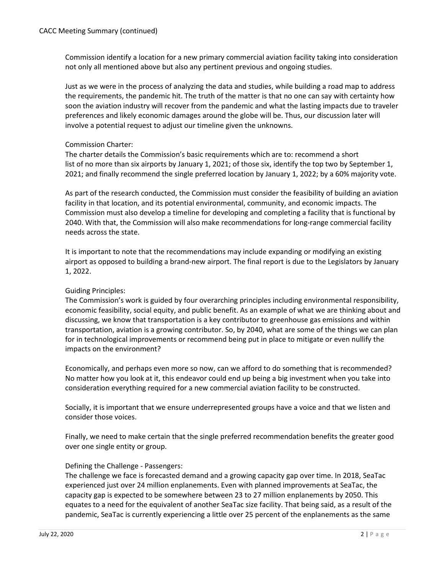Commission identify a location for a new primary commercial aviation facility taking into consideration not only all mentioned above but also any pertinent previous and ongoing studies.

Just as we were in the process of analyzing the data and studies, while building a road map to address the requirements, the pandemic hit. The truth of the matter is that no one can say with certainty how soon the aviation industry will recover from the pandemic and what the lasting impacts due to traveler preferences and likely economic damages around the globe will be. Thus, our discussion later will involve a potential request to adjust our timeline given the unknowns.

# Commission Charter:

The charter details the Commission's basic requirements which are to: recommend a short list of no more than six airports by January 1, 2021; of those six, identify the top two by September 1, 2021; and finally recommend the single preferred location by January 1, 2022; by a 60% majority vote.

As part of the research conducted, the Commission must consider the feasibility of building an aviation facility in that location, and its potential environmental, community, and economic impacts. The Commission must also develop a timeline for developing and completing a facility that is functional by 2040. With that, the Commission will also make recommendations for long-range commercial facility needs across the state.

It is important to note that the recommendations may include expanding or modifying an existing airport as opposed to building a brand-new airport. The final report is due to the Legislators by January 1, 2022.

# Guiding Principles:

The Commission's work is guided by four overarching principles including environmental responsibility, economic feasibility, social equity, and public benefit. As an example of what we are thinking about and discussing, we know that transportation is a key contributor to greenhouse gas emissions and within transportation, aviation is a growing contributor. So, by 2040, what are some of the things we can plan for in technological improvements or recommend being put in place to mitigate or even nullify the impacts on the environment?

Economically, and perhaps even more so now, can we afford to do something that is recommended? No matter how you look at it, this endeavor could end up being a big investment when you take into consideration everything required for a new commercial aviation facility to be constructed.

Socially, it is important that we ensure underrepresented groups have a voice and that we listen and consider those voices.

Finally, we need to make certain that the single preferred recommendation benefits the greater good over one single entity or group.

# Defining the Challenge - Passengers:

The challenge we face is forecasted demand and a growing capacity gap over time. In 2018, SeaTac experienced just over 24 million enplanements. Even with planned improvements at SeaTac, the capacity gap is expected to be somewhere between 23 to 27 million enplanements by 2050. This equates to a need for the equivalent of another SeaTac size facility. That being said, as a result of the pandemic, SeaTac is currently experiencing a little over 25 percent of the enplanements as the same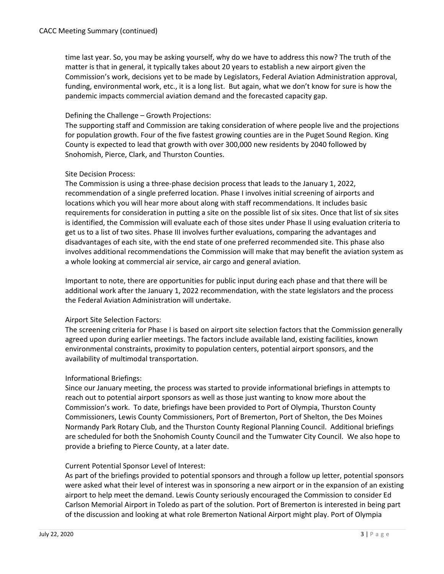time last year. So, you may be asking yourself, why do we have to address this now? The truth of the matter is that in general, it typically takes about 20 years to establish a new airport given the Commission's work, decisions yet to be made by Legislators, Federal Aviation Administration approval, funding, environmental work, etc., it is a long list. But again, what we don't know for sure is how the pandemic impacts commercial aviation demand and the forecasted capacity gap.

# Defining the Challenge – Growth Projections:

The supporting staff and Commission are taking consideration of where people live and the projections for population growth. Four of the five fastest growing counties are in the Puget Sound Region. King County is expected to lead that growth with over 300,000 new residents by 2040 followed by Snohomish, Pierce, Clark, and Thurston Counties.

# Site Decision Process:

The Commission is using a three-phase decision process that leads to the January 1, 2022, recommendation of a single preferred location. Phase I involves initial screening of airports and locations which you will hear more about along with staff recommendations. It includes basic requirements for consideration in putting a site on the possible list of six sites. Once that list of six sites is identified, the Commission will evaluate each of those sites under Phase II using evaluation criteria to get us to a list of two sites. Phase III involves further evaluations, comparing the advantages and disadvantages of each site, with the end state of one preferred recommended site. This phase also involves additional recommendations the Commission will make that may benefit the aviation system as a whole looking at commercial air service, air cargo and general aviation.

Important to note, there are opportunities for public input during each phase and that there will be additional work after the January 1, 2022 recommendation, with the state legislators and the process the Federal Aviation Administration will undertake.

# Airport Site Selection Factors:

The screening criteria for Phase I is based on airport site selection factors that the Commission generally agreed upon during earlier meetings. The factors include available land, existing facilities, known environmental constraints, proximity to population centers, potential airport sponsors, and the availability of multimodal transportation.

# Informational Briefings:

Since our January meeting, the process was started to provide informational briefings in attempts to reach out to potential airport sponsors as well as those just wanting to know more about the Commission's work. To date, briefings have been provided to Port of Olympia, Thurston County Commissioners, Lewis County Commissioners, Port of Bremerton, Port of Shelton, the Des Moines Normandy Park Rotary Club, and the Thurston County Regional Planning Council. Additional briefings are scheduled for both the Snohomish County Council and the Tumwater City Council. We also hope to provide a briefing to Pierce County, at a later date.

# Current Potential Sponsor Level of Interest:

As part of the briefings provided to potential sponsors and through a follow up letter, potential sponsors were asked what their level of interest was in sponsoring a new airport or in the expansion of an existing airport to help meet the demand. Lewis County seriously encouraged the Commission to consider Ed Carlson Memorial Airport in Toledo as part of the solution. Port of Bremerton is interested in being part of the discussion and looking at what role Bremerton National Airport might play. Port of Olympia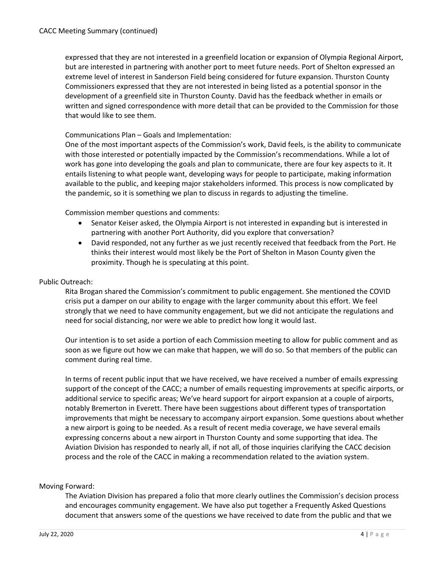expressed that they are not interested in a greenfield location or expansion of Olympia Regional Airport, but are interested in partnering with another port to meet future needs. Port of Shelton expressed an extreme level of interest in Sanderson Field being considered for future expansion. Thurston County Commissioners expressed that they are not interested in being listed as a potential sponsor in the development of a greenfield site in Thurston County. David has the feedback whether in emails or written and signed correspondence with more detail that can be provided to the Commission for those that would like to see them.

# Communications Plan – Goals and Implementation:

One of the most important aspects of the Commission's work, David feels, is the ability to communicate with those interested or potentially impacted by the Commission's recommendations. While a lot of work has gone into developing the goals and plan to communicate, there are four key aspects to it. It entails listening to what people want, developing ways for people to participate, making information available to the public, and keeping major stakeholders informed. This process is now complicated by the pandemic, so it is something we plan to discuss in regards to adjusting the timeline.

Commission member questions and comments:

- Senator Keiser asked, the Olympia Airport is not interested in expanding but is interested in partnering with another Port Authority, did you explore that conversation?
- David responded, not any further as we just recently received that feedback from the Port. He thinks their interest would most likely be the Port of Shelton in Mason County given the proximity. Though he is speculating at this point.

#### Public Outreach:

Rita Brogan shared the Commission's commitment to public engagement. She mentioned the COVID crisis put a damper on our ability to engage with the larger community about this effort. We feel strongly that we need to have community engagement, but we did not anticipate the regulations and need for social distancing, nor were we able to predict how long it would last.

Our intention is to set aside a portion of each Commission meeting to allow for public comment and as soon as we figure out how we can make that happen, we will do so. So that members of the public can comment during real time.

In terms of recent public input that we have received, we have received a number of emails expressing support of the concept of the CACC; a number of emails requesting improvements at specific airports, or additional service to specific areas; We've heard support for airport expansion at a couple of airports, notably Bremerton in Everett. There have been suggestions about different types of transportation improvements that might be necessary to accompany airport expansion. Some questions about whether a new airport is going to be needed. As a result of recent media coverage, we have several emails expressing concerns about a new airport in Thurston County and some supporting that idea. The Aviation Division has responded to nearly all, if not all, of those inquiries clarifying the CACC decision process and the role of the CACC in making a recommendation related to the aviation system.

#### Moving Forward:

The Aviation Division has prepared a folio that more clearly outlines the Commission's decision process and encourages community engagement. We have also put together a Frequently Asked Questions document that answers some of the questions we have received to date from the public and that we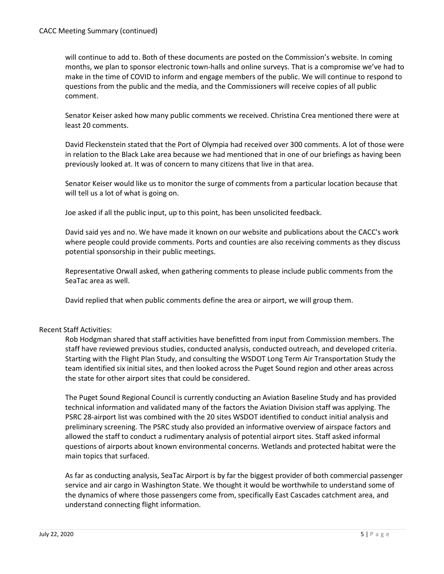will continue to add to. Both of these documents are posted on the Commission's website. In coming months, we plan to sponsor electronic town-halls and online surveys. That is a compromise we've had to make in the time of COVID to inform and engage members of the public. We will continue to respond to questions from the public and the media, and the Commissioners will receive copies of all public comment.

Senator Keiser asked how many public comments we received. Christina Crea mentioned there were at least 20 comments.

David Fleckenstein stated that the Port of Olympia had received over 300 comments. A lot of those were in relation to the Black Lake area because we had mentioned that in one of our briefings as having been previously looked at. It was of concern to many citizens that live in that area.

Senator Keiser would like us to monitor the surge of comments from a particular location because that will tell us a lot of what is going on.

Joe asked if all the public input, up to this point, has been unsolicited feedback.

David said yes and no. We have made it known on our website and publications about the CACC's work where people could provide comments. Ports and counties are also receiving comments as they discuss potential sponsorship in their public meetings.

Representative Orwall asked, when gathering comments to please include public comments from the SeaTac area as well.

David replied that when public comments define the area or airport, we will group them.

# Recent Staff Activities:

Rob Hodgman shared that staff activities have benefitted from input from Commission members. The staff have reviewed previous studies, conducted analysis, conducted outreach, and developed criteria. Starting with the Flight Plan Study, and consulting the WSDOT Long Term Air Transportation Study the team identified six initial sites, and then looked across the Puget Sound region and other areas across the state for other airport sites that could be considered.

The Puget Sound Regional Council is currently conducting an Aviation Baseline Study and has provided technical information and validated many of the factors the Aviation Division staff was applying. The PSRC 28-airport list was combined with the 20 sites WSDOT identified to conduct initial analysis and preliminary screening. The PSRC study also provided an informative overview of airspace factors and allowed the staff to conduct a rudimentary analysis of potential airport sites. Staff asked informal questions of airports about known environmental concerns. Wetlands and protected habitat were the main topics that surfaced.

As far as conducting analysis, SeaTac Airport is by far the biggest provider of both commercial passenger service and air cargo in Washington State. We thought it would be worthwhile to understand some of the dynamics of where those passengers come from, specifically East Cascades catchment area, and understand connecting flight information.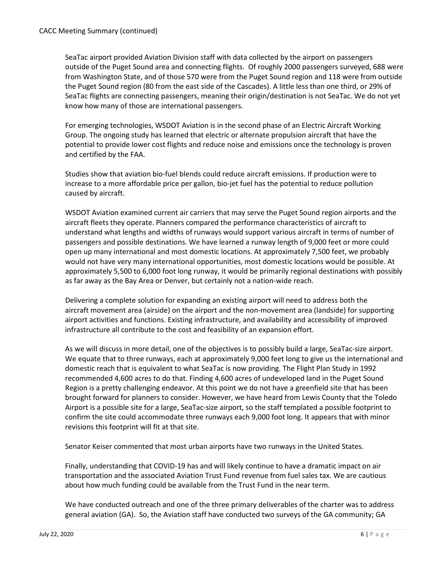SeaTac airport provided Aviation Division staff with data collected by the airport on passengers outside of the Puget Sound area and connecting flights. Of roughly 2000 passengers surveyed, 688 were from Washington State, and of those 570 were from the Puget Sound region and 118 were from outside the Puget Sound region (80 from the east side of the Cascades). A little less than one third, or 29% of SeaTac flights are connecting passengers, meaning their origin/destination is not SeaTac. We do not yet know how many of those are international passengers.

For emerging technologies, WSDOT Aviation is in the second phase of an Electric Aircraft Working Group. The ongoing study has learned that electric or alternate propulsion aircraft that have the potential to provide lower cost flights and reduce noise and emissions once the technology is proven and certified by the FAA.

Studies show that aviation bio-fuel blends could reduce aircraft emissions. If production were to increase to a more affordable price per gallon, bio-jet fuel has the potential to reduce pollution caused by aircraft.

WSDOT Aviation examined current air carriers that may serve the Puget Sound region airports and the aircraft fleets they operate. Planners compared the performance characteristics of aircraft to understand what lengths and widths of runways would support various aircraft in terms of number of passengers and possible destinations. We have learned a runway length of 9,000 feet or more could open up many international and most domestic locations. At approximately 7,500 feet, we probably would not have very many international opportunities, most domestic locations would be possible. At approximately 5,500 to 6,000 foot long runway, it would be primarily regional destinations with possibly as far away as the Bay Area or Denver, but certainly not a nation-wide reach.

Delivering a complete solution for expanding an existing airport will need to address both the aircraft movement area (airside) on the airport and the non-movement area (landside) for supporting airport activities and functions. Existing infrastructure, and availability and accessibility of improved infrastructure all contribute to the cost and feasibility of an expansion effort.

As we will discuss in more detail, one of the objectives is to possibly build a large, SeaTac-size airport. We equate that to three runways, each at approximately 9,000 feet long to give us the international and domestic reach that is equivalent to what SeaTac is now providing. The Flight Plan Study in 1992 recommended 4,600 acres to do that. Finding 4,600 acres of undeveloped land in the Puget Sound Region is a pretty challenging endeavor. At this point we do not have a greenfield site that has been brought forward for planners to consider. However, we have heard from Lewis County that the Toledo Airport is a possible site for a large, SeaTac-size airport, so the staff templated a possible footprint to confirm the site could accommodate three runways each 9,000 foot long. It appears that with minor revisions this footprint will fit at that site.

Senator Keiser commented that most urban airports have two runways in the United States.

Finally, understanding that COVID-19 has and will likely continue to have a dramatic impact on air transportation and the associated Aviation Trust Fund revenue from fuel sales tax. We are cautious about how much funding could be available from the Trust Fund in the near term.

We have conducted outreach and one of the three primary deliverables of the charter was to address general aviation (GA). So, the Aviation staff have conducted two surveys of the GA community; GA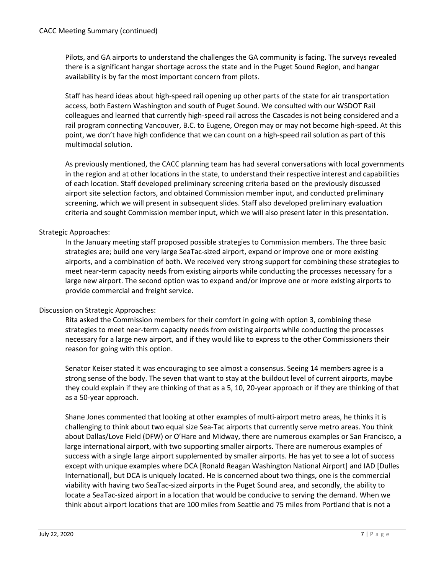Pilots, and GA airports to understand the challenges the GA community is facing. The surveys revealed there is a significant hangar shortage across the state and in the Puget Sound Region, and hangar availability is by far the most important concern from pilots.

Staff has heard ideas about high-speed rail opening up other parts of the state for air transportation access, both Eastern Washington and south of Puget Sound. We consulted with our WSDOT Rail colleagues and learned that currently high-speed rail across the Cascades is not being considered and a rail program connecting Vancouver, B.C. to Eugene, Oregon may or may not become high-speed. At this point, we don't have high confidence that we can count on a high-speed rail solution as part of this multimodal solution.

As previously mentioned, the CACC planning team has had several conversations with local governments in the region and at other locations in the state, to understand their respective interest and capabilities of each location. Staff developed preliminary screening criteria based on the previously discussed airport site selection factors, and obtained Commission member input, and conducted preliminary screening, which we will present in subsequent slides. Staff also developed preliminary evaluation criteria and sought Commission member input, which we will also present later in this presentation.

# Strategic Approaches:

In the January meeting staff proposed possible strategies to Commission members. The three basic strategies are; build one very large SeaTac-sized airport, expand or improve one or more existing airports, and a combination of both. We received very strong support for combining these strategies to meet near-term capacity needs from existing airports while conducting the processes necessary for a large new airport. The second option was to expand and/or improve one or more existing airports to provide commercial and freight service.

# Discussion on Strategic Approaches:

Rita asked the Commission members for their comfort in going with option 3, combining these strategies to meet near-term capacity needs from existing airports while conducting the processes necessary for a large new airport, and if they would like to express to the other Commissioners their reason for going with this option.

Senator Keiser stated it was encouraging to see almost a consensus. Seeing 14 members agree is a strong sense of the body. The seven that want to stay at the buildout level of current airports, maybe they could explain if they are thinking of that as a 5, 10, 20-year approach or if they are thinking of that as a 50-year approach.

Shane Jones commented that looking at other examples of multi-airport metro areas, he thinks it is challenging to think about two equal size Sea-Tac airports that currently serve metro areas. You think about Dallas/Love Field (DFW) or O'Hare and Midway, there are numerous examples or San Francisco, a large international airport, with two supporting smaller airports. There are numerous examples of success with a single large airport supplemented by smaller airports. He has yet to see a lot of success except with unique examples where DCA [Ronald Reagan Washington National Airport] and IAD [Dulles International], but DCA is uniquely located. He is concerned about two things, one is the commercial viability with having two SeaTac-sized airports in the Puget Sound area, and secondly, the ability to locate a SeaTac-sized airport in a location that would be conducive to serving the demand. When we think about airport locations that are 100 miles from Seattle and 75 miles from Portland that is not a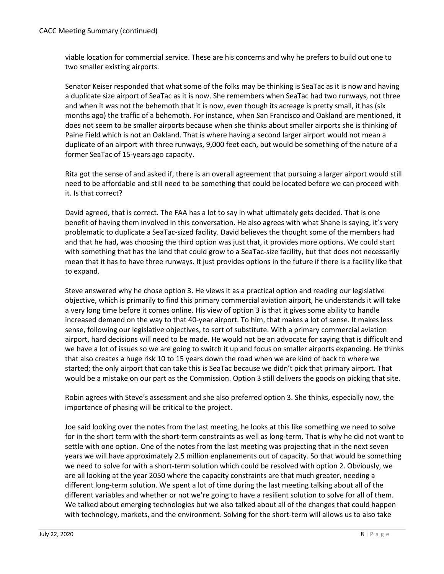viable location for commercial service. These are his concerns and why he prefers to build out one to two smaller existing airports.

Senator Keiser responded that what some of the folks may be thinking is SeaTac as it is now and having a duplicate size airport of SeaTac as it is now. She remembers when SeaTac had two runways, not three and when it was not the behemoth that it is now, even though its acreage is pretty small, it has (six months ago) the traffic of a behemoth. For instance, when San Francisco and Oakland are mentioned, it does not seem to be smaller airports because when she thinks about smaller airports she is thinking of Paine Field which is not an Oakland. That is where having a second larger airport would not mean a duplicate of an airport with three runways, 9,000 feet each, but would be something of the nature of a former SeaTac of 15-years ago capacity.

Rita got the sense of and asked if, there is an overall agreement that pursuing a larger airport would still need to be affordable and still need to be something that could be located before we can proceed with it. Is that correct?

David agreed, that is correct. The FAA has a lot to say in what ultimately gets decided. That is one benefit of having them involved in this conversation. He also agrees with what Shane is saying, it's very problematic to duplicate a SeaTac-sized facility. David believes the thought some of the members had and that he had, was choosing the third option was just that, it provides more options. We could start with something that has the land that could grow to a SeaTac-size facility, but that does not necessarily mean that it has to have three runways. It just provides options in the future if there is a facility like that to expand.

Steve answered why he chose option 3. He views it as a practical option and reading our legislative objective, which is primarily to find this primary commercial aviation airport, he understands it will take a very long time before it comes online. His view of option 3 is that it gives some ability to handle increased demand on the way to that 40-year airport. To him, that makes a lot of sense. It makes less sense, following our legislative objectives, to sort of substitute. With a primary commercial aviation airport, hard decisions will need to be made. He would not be an advocate for saying that is difficult and we have a lot of issues so we are going to switch it up and focus on smaller airports expanding. He thinks that also creates a huge risk 10 to 15 years down the road when we are kind of back to where we started; the only airport that can take this is SeaTac because we didn't pick that primary airport. That would be a mistake on our part as the Commission. Option 3 still delivers the goods on picking that site.

Robin agrees with Steve's assessment and she also preferred option 3. She thinks, especially now, the importance of phasing will be critical to the project.

Joe said looking over the notes from the last meeting, he looks at this like something we need to solve for in the short term with the short-term constraints as well as long-term. That is why he did not want to settle with one option. One of the notes from the last meeting was projecting that in the next seven years we will have approximately 2.5 million enplanements out of capacity. So that would be something we need to solve for with a short-term solution which could be resolved with option 2. Obviously, we are all looking at the year 2050 where the capacity constraints are that much greater, needing a different long-term solution. We spent a lot of time during the last meeting talking about all of the different variables and whether or not we're going to have a resilient solution to solve for all of them. We talked about emerging technologies but we also talked about all of the changes that could happen with technology, markets, and the environment. Solving for the short-term will allows us to also take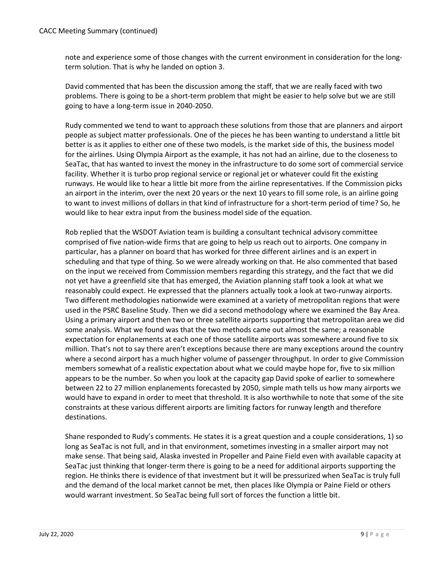note and experience some of those changes with the current environment in consideration for the longterm solution. That is why he landed on option 3.

David commented that has been the discussion among the staff, that we are really faced with two problems. There is going to be a short-term problem that might be easier to help solve but we are still going to have a long-term issue in 2040-2050.

Rudy commented we tend to want to approach these solutions from those that are planners and airport people as subject matter professionals. One of the pieces he has been wanting to understand a little bit better is as it applies to either one of these two models, is the market side of this, the business model for the airlines. Using Olympia Airport as the example, it has not had an airline, due to the closeness to SeaTac, that has wanted to invest the money in the infrastructure to do some sort of commercial service facility. Whether it is turbo prop regional service or regional jet or whatever could fit the existing runways. He would like to hear a little bit more from the airline representatives. If the Commission picks an airport in the interim, over the next 20 years or the next 10 years to fill some role, is an airline going to want to invest millions of dollars in that kind of infrastructure for a short-term period of time? So, he would like to hear extra input from the business model side of the equation.

Rob replied that the WSDOT Aviation team is building a consultant technical advisory committee comprised of five nation-wide firms that are going to help us reach out to airports. One company in particular, has a planner on board that has worked for three different airlines and is an expert in scheduling and that type of thing. So we were already working on that. He also commented that based on the input we received from Commission members regarding this strategy, and the fact that we did not yet have a greenfield site that has emerged, the Aviation planning staff took a look at what we reasonably could expect. He expressed that the planners actually took a look at two-runway airports. Two different methodologies nationwide were examined at a variety of metropolitan regions that were used in the PSRC Baseline Study. Then we did a second methodology where we examined the Bay Area. Using a primary airport and then two or three satellite airports supporting that metropolitan area we did some analysis. What we found was that the two methods came out almost the same; a reasonable expectation for enplanements at each one of those satellite airports was somewhere around five to six million. That's not to say there aren't exceptions because there are many exceptions around the country where a second airport has a much higher volume of passenger throughput. In order to give Commission members somewhat of a realistic expectation about what we could maybe hope for, five to six million appears to be the number. So when you look at the capacity gap David spoke of earlier to somewhere between 22 to 27 million enplanements forecasted by 2050, simple math tells us how many airports we would have to expand in order to meet that threshold. It is also worthwhile to note that some of the site constraints at these various different airports are limiting factors for runway length and therefore destinations.

Shane responded to Rudy's comments. He states it is a great question and a couple considerations, 1) so long as SeaTac is not full, and in that environment, sometimes investing in a smaller airport may not make sense. That being said, Alaska invested in Propeller and Paine Field even with available capacity at SeaTac just thinking that longer-term there is going to be a need for additional airports supporting the region. He thinks there is evidence of that investment but it will be pressurized when SeaTac is truly full and the demand of the local market cannot be met, then places like Olympia or Paine Field or others would warrant investment. So SeaTac being full sort of forces the function a little bit.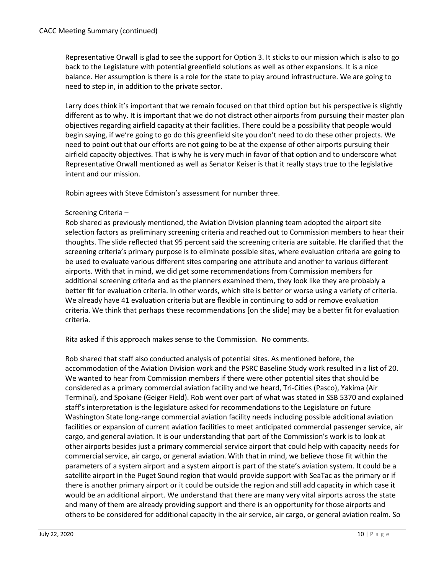Representative Orwall is glad to see the support for Option 3. It sticks to our mission which is also to go back to the Legislature with potential greenfield solutions as well as other expansions. It is a nice balance. Her assumption is there is a role for the state to play around infrastructure. We are going to need to step in, in addition to the private sector.

Larry does think it's important that we remain focused on that third option but his perspective is slightly different as to why. It is important that we do not distract other airports from pursuing their master plan objectives regarding airfield capacity at their facilities. There could be a possibility that people would begin saying, if we're going to go do this greenfield site you don't need to do these other projects. We need to point out that our efforts are not going to be at the expense of other airports pursuing their airfield capacity objectives. That is why he is very much in favor of that option and to underscore what Representative Orwall mentioned as well as Senator Keiser is that it really stays true to the legislative intent and our mission.

Robin agrees with Steve Edmiston's assessment for number three.

# Screening Criteria –

Rob shared as previously mentioned, the Aviation Division planning team adopted the airport site selection factors as preliminary screening criteria and reached out to Commission members to hear their thoughts. The slide reflected that 95 percent said the screening criteria are suitable. He clarified that the screening criteria's primary purpose is to eliminate possible sites, where evaluation criteria are going to be used to evaluate various different sites comparing one attribute and another to various different airports. With that in mind, we did get some recommendations from Commission members for additional screening criteria and as the planners examined them, they look like they are probably a better fit for evaluation criteria. In other words, which site is better or worse using a variety of criteria. We already have 41 evaluation criteria but are flexible in continuing to add or remove evaluation criteria. We think that perhaps these recommendations [on the slide] may be a better fit for evaluation criteria.

Rita asked if this approach makes sense to the Commission. No comments.

Rob shared that staff also conducted analysis of potential sites. As mentioned before, the accommodation of the Aviation Division work and the PSRC Baseline Study work resulted in a list of 20. We wanted to hear from Commission members if there were other potential sites that should be considered as a primary commercial aviation facility and we heard, Tri-Cities (Pasco), Yakima (Air Terminal), and Spokane (Geiger Field). Rob went over part of what was stated in SSB 5370 and explained staff's interpretation is the legislature asked for recommendations to the Legislature on future Washington State long-range commercial aviation facility needs including possible additional aviation facilities or expansion of current aviation facilities to meet anticipated commercial passenger service, air cargo, and general aviation. It is our understanding that part of the Commission's work is to look at other airports besides just a primary commercial service airport that could help with capacity needs for commercial service, air cargo, or general aviation. With that in mind, we believe those fit within the parameters of a system airport and a system airport is part of the state's aviation system. It could be a satellite airport in the Puget Sound region that would provide support with SeaTac as the primary or if there is another primary airport or it could be outside the region and still add capacity in which case it would be an additional airport. We understand that there are many very vital airports across the state and many of them are already providing support and there is an opportunity for those airports and others to be considered for additional capacity in the air service, air cargo, or general aviation realm. So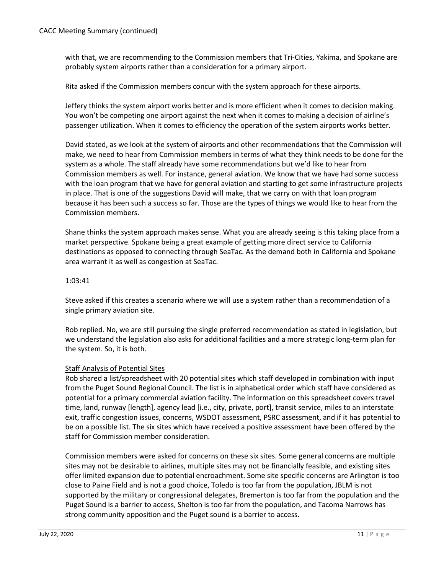with that, we are recommending to the Commission members that Tri-Cities, Yakima, and Spokane are probably system airports rather than a consideration for a primary airport.

Rita asked if the Commission members concur with the system approach for these airports.

Jeffery thinks the system airport works better and is more efficient when it comes to decision making. You won't be competing one airport against the next when it comes to making a decision of airline's passenger utilization. When it comes to efficiency the operation of the system airports works better.

David stated, as we look at the system of airports and other recommendations that the Commission will make, we need to hear from Commission members in terms of what they think needs to be done for the system as a whole. The staff already have some recommendations but we'd like to hear from Commission members as well. For instance, general aviation. We know that we have had some success with the loan program that we have for general aviation and starting to get some infrastructure projects in place. That is one of the suggestions David will make, that we carry on with that loan program because it has been such a success so far. Those are the types of things we would like to hear from the Commission members.

Shane thinks the system approach makes sense. What you are already seeing is this taking place from a market perspective. Spokane being a great example of getting more direct service to California destinations as opposed to connecting through SeaTac. As the demand both in California and Spokane area warrant it as well as congestion at SeaTac.

### 1:03:41

Steve asked if this creates a scenario where we will use a system rather than a recommendation of a single primary aviation site.

Rob replied. No, we are still pursuing the single preferred recommendation as stated in legislation, but we understand the legislation also asks for additional facilities and a more strategic long-term plan for the system. So, it is both.

# Staff Analysis of Potential Sites

Rob shared a list/spreadsheet with 20 potential sites which staff developed in combination with input from the Puget Sound Regional Council. The list is in alphabetical order which staff have considered as potential for a primary commercial aviation facility. The information on this spreadsheet covers travel time, land, runway [length], agency lead [i.e., city, private, port], transit service, miles to an interstate exit, traffic congestion issues, concerns, WSDOT assessment, PSRC assessment, and if it has potential to be on a possible list. The six sites which have received a positive assessment have been offered by the staff for Commission member consideration.

Commission members were asked for concerns on these six sites. Some general concerns are multiple sites may not be desirable to airlines, multiple sites may not be financially feasible, and existing sites offer limited expansion due to potential encroachment. Some site specific concerns are Arlington is too close to Paine Field and is not a good choice, Toledo is too far from the population, JBLM is not supported by the military or congressional delegates, Bremerton is too far from the population and the Puget Sound is a barrier to access, Shelton is too far from the population, and Tacoma Narrows has strong community opposition and the Puget sound is a barrier to access.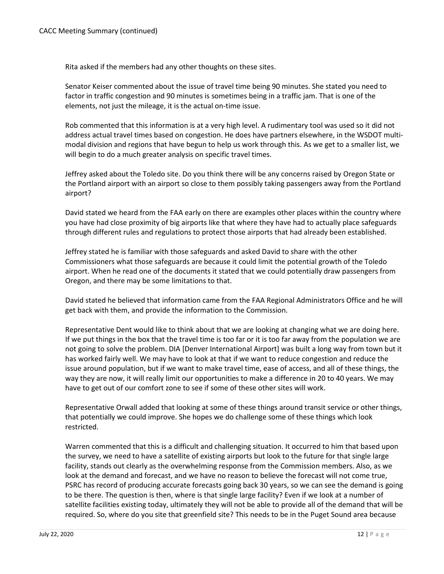Rita asked if the members had any other thoughts on these sites.

Senator Keiser commented about the issue of travel time being 90 minutes. She stated you need to factor in traffic congestion and 90 minutes is sometimes being in a traffic jam. That is one of the elements, not just the mileage, it is the actual on-time issue.

Rob commented that this information is at a very high level. A rudimentary tool was used so it did not address actual travel times based on congestion. He does have partners elsewhere, in the WSDOT multimodal division and regions that have begun to help us work through this. As we get to a smaller list, we will begin to do a much greater analysis on specific travel times.

Jeffrey asked about the Toledo site. Do you think there will be any concerns raised by Oregon State or the Portland airport with an airport so close to them possibly taking passengers away from the Portland airport?

David stated we heard from the FAA early on there are examples other places within the country where you have had close proximity of big airports like that where they have had to actually place safeguards through different rules and regulations to protect those airports that had already been established.

Jeffrey stated he is familiar with those safeguards and asked David to share with the other Commissioners what those safeguards are because it could limit the potential growth of the Toledo airport. When he read one of the documents it stated that we could potentially draw passengers from Oregon, and there may be some limitations to that.

David stated he believed that information came from the FAA Regional Administrators Office and he will get back with them, and provide the information to the Commission.

Representative Dent would like to think about that we are looking at changing what we are doing here. If we put things in the box that the travel time is too far or it is too far away from the population we are not going to solve the problem. DIA [Denver International Airport] was built a long way from town but it has worked fairly well. We may have to look at that if we want to reduce congestion and reduce the issue around population, but if we want to make travel time, ease of access, and all of these things, the way they are now, it will really limit our opportunities to make a difference in 20 to 40 years. We may have to get out of our comfort zone to see if some of these other sites will work.

Representative Orwall added that looking at some of these things around transit service or other things, that potentially we could improve. She hopes we do challenge some of these things which look restricted.

Warren commented that this is a difficult and challenging situation. It occurred to him that based upon the survey, we need to have a satellite of existing airports but look to the future for that single large facility, stands out clearly as the overwhelming response from the Commission members. Also, as we look at the demand and forecast, and we have no reason to believe the forecast will not come true, PSRC has record of producing accurate forecasts going back 30 years, so we can see the demand is going to be there. The question is then, where is that single large facility? Even if we look at a number of satellite facilities existing today, ultimately they will not be able to provide all of the demand that will be required. So, where do you site that greenfield site? This needs to be in the Puget Sound area because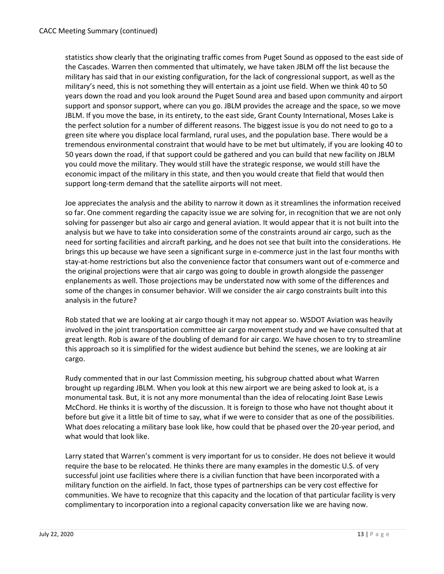statistics show clearly that the originating traffic comes from Puget Sound as opposed to the east side of the Cascades. Warren then commented that ultimately, we have taken JBLM off the list because the military has said that in our existing configuration, for the lack of congressional support, as well as the military's need, this is not something they will entertain as a joint use field. When we think 40 to 50 years down the road and you look around the Puget Sound area and based upon community and airport support and sponsor support, where can you go. JBLM provides the acreage and the space, so we move JBLM. If you move the base, in its entirety, to the east side, Grant County International, Moses Lake is the perfect solution for a number of different reasons. The biggest issue is you do not need to go to a green site where you displace local farmland, rural uses, and the population base. There would be a tremendous environmental constraint that would have to be met but ultimately, if you are looking 40 to 50 years down the road, if that support could be gathered and you can build that new facility on JBLM you could move the military. They would still have the strategic response, we would still have the economic impact of the military in this state, and then you would create that field that would then support long-term demand that the satellite airports will not meet.

Joe appreciates the analysis and the ability to narrow it down as it streamlines the information received so far. One comment regarding the capacity issue we are solving for, in recognition that we are not only solving for passenger but also air cargo and general aviation. It would appear that it is not built into the analysis but we have to take into consideration some of the constraints around air cargo, such as the need for sorting facilities and aircraft parking, and he does not see that built into the considerations. He brings this up because we have seen a significant surge in e-commerce just in the last four months with stay-at-home restrictions but also the convenience factor that consumers want out of e-commerce and the original projections were that air cargo was going to double in growth alongside the passenger enplanements as well. Those projections may be understated now with some of the differences and some of the changes in consumer behavior. Will we consider the air cargo constraints built into this analysis in the future?

Rob stated that we are looking at air cargo though it may not appear so. WSDOT Aviation was heavily involved in the joint transportation committee air cargo movement study and we have consulted that at great length. Rob is aware of the doubling of demand for air cargo. We have chosen to try to streamline this approach so it is simplified for the widest audience but behind the scenes, we are looking at air cargo.

Rudy commented that in our last Commission meeting, his subgroup chatted about what Warren brought up regarding JBLM. When you look at this new airport we are being asked to look at, is a monumental task. But, it is not any more monumental than the idea of relocating Joint Base Lewis McChord. He thinks it is worthy of the discussion. It is foreign to those who have not thought about it before but give it a little bit of time to say, what if we were to consider that as one of the possibilities. What does relocating a military base look like, how could that be phased over the 20-year period, and what would that look like.

Larry stated that Warren's comment is very important for us to consider. He does not believe it would require the base to be relocated. He thinks there are many examples in the domestic U.S. of very successful joint use facilities where there is a civilian function that have been incorporated with a military function on the airfield. In fact, those types of partnerships can be very cost effective for communities. We have to recognize that this capacity and the location of that particular facility is very complimentary to incorporation into a regional capacity conversation like we are having now.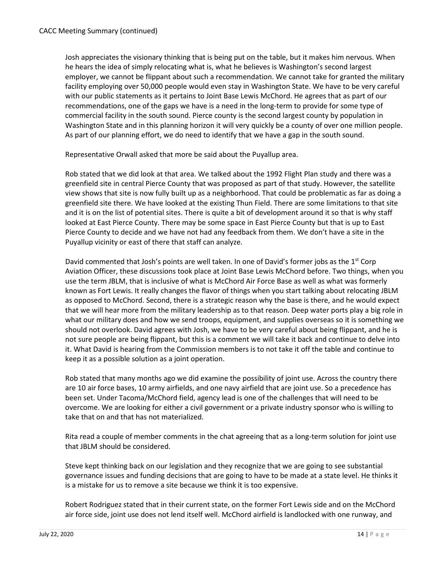Josh appreciates the visionary thinking that is being put on the table, but it makes him nervous. When he hears the idea of simply relocating what is, what he believes is Washington's second largest employer, we cannot be flippant about such a recommendation. We cannot take for granted the military facility employing over 50,000 people would even stay in Washington State. We have to be very careful with our public statements as it pertains to Joint Base Lewis McChord. He agrees that as part of our recommendations, one of the gaps we have is a need in the long-term to provide for some type of commercial facility in the south sound. Pierce county is the second largest county by population in Washington State and in this planning horizon it will very quickly be a county of over one million people. As part of our planning effort, we do need to identify that we have a gap in the south sound.

Representative Orwall asked that more be said about the Puyallup area.

Rob stated that we did look at that area. We talked about the 1992 Flight Plan study and there was a greenfield site in central Pierce County that was proposed as part of that study. However, the satellite view shows that site is now fully built up as a neighborhood. That could be problematic as far as doing a greenfield site there. We have looked at the existing Thun Field. There are some limitations to that site and it is on the list of potential sites. There is quite a bit of development around it so that is why staff looked at East Pierce County. There may be some space in East Pierce County but that is up to East Pierce County to decide and we have not had any feedback from them. We don't have a site in the Puyallup vicinity or east of there that staff can analyze.

David commented that Josh's points are well taken. In one of David's former jobs as the  $1^{st}$  Corp Aviation Officer, these discussions took place at Joint Base Lewis McChord before. Two things, when you use the term JBLM, that is inclusive of what is McChord Air Force Base as well as what was formerly known as Fort Lewis. It really changes the flavor of things when you start talking about relocating JBLM as opposed to McChord. Second, there is a strategic reason why the base is there, and he would expect that we will hear more from the military leadership as to that reason. Deep water ports play a big role in what our military does and how we send troops, equipment, and supplies overseas so it is something we should not overlook. David agrees with Josh, we have to be very careful about being flippant, and he is not sure people are being flippant, but this is a comment we will take it back and continue to delve into it. What David is hearing from the Commission members is to not take it off the table and continue to keep it as a possible solution as a joint operation.

Rob stated that many months ago we did examine the possibility of joint use. Across the country there are 10 air force bases, 10 army airfields, and one navy airfield that are joint use. So a precedence has been set. Under Tacoma/McChord field, agency lead is one of the challenges that will need to be overcome. We are looking for either a civil government or a private industry sponsor who is willing to take that on and that has not materialized.

Rita read a couple of member comments in the chat agreeing that as a long-term solution for joint use that JBLM should be considered.

Steve kept thinking back on our legislation and they recognize that we are going to see substantial governance issues and funding decisions that are going to have to be made at a state level. He thinks it is a mistake for us to remove a site because we think it is too expensive.

Robert Rodriguez stated that in their current state, on the former Fort Lewis side and on the McChord air force side, joint use does not lend itself well. McChord airfield is landlocked with one runway, and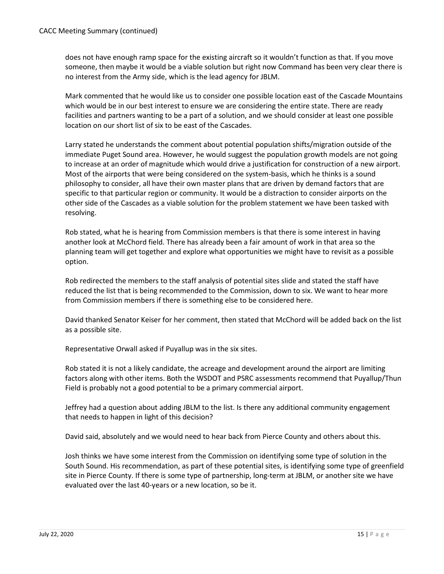does not have enough ramp space for the existing aircraft so it wouldn't function as that. If you move someone, then maybe it would be a viable solution but right now Command has been very clear there is no interest from the Army side, which is the lead agency for JBLM.

Mark commented that he would like us to consider one possible location east of the Cascade Mountains which would be in our best interest to ensure we are considering the entire state. There are ready facilities and partners wanting to be a part of a solution, and we should consider at least one possible location on our short list of six to be east of the Cascades.

Larry stated he understands the comment about potential population shifts/migration outside of the immediate Puget Sound area. However, he would suggest the population growth models are not going to increase at an order of magnitude which would drive a justification for construction of a new airport. Most of the airports that were being considered on the system-basis, which he thinks is a sound philosophy to consider, all have their own master plans that are driven by demand factors that are specific to that particular region or community. It would be a distraction to consider airports on the other side of the Cascades as a viable solution for the problem statement we have been tasked with resolving.

Rob stated, what he is hearing from Commission members is that there is some interest in having another look at McChord field. There has already been a fair amount of work in that area so the planning team will get together and explore what opportunities we might have to revisit as a possible option.

Rob redirected the members to the staff analysis of potential sites slide and stated the staff have reduced the list that is being recommended to the Commission, down to six. We want to hear more from Commission members if there is something else to be considered here.

David thanked Senator Keiser for her comment, then stated that McChord will be added back on the list as a possible site.

Representative Orwall asked if Puyallup was in the six sites.

Rob stated it is not a likely candidate, the acreage and development around the airport are limiting factors along with other items. Both the WSDOT and PSRC assessments recommend that Puyallup/Thun Field is probably not a good potential to be a primary commercial airport.

Jeffrey had a question about adding JBLM to the list. Is there any additional community engagement that needs to happen in light of this decision?

David said, absolutely and we would need to hear back from Pierce County and others about this.

Josh thinks we have some interest from the Commission on identifying some type of solution in the South Sound. His recommendation, as part of these potential sites, is identifying some type of greenfield site in Pierce County. If there is some type of partnership, long-term at JBLM, or another site we have evaluated over the last 40-years or a new location, so be it.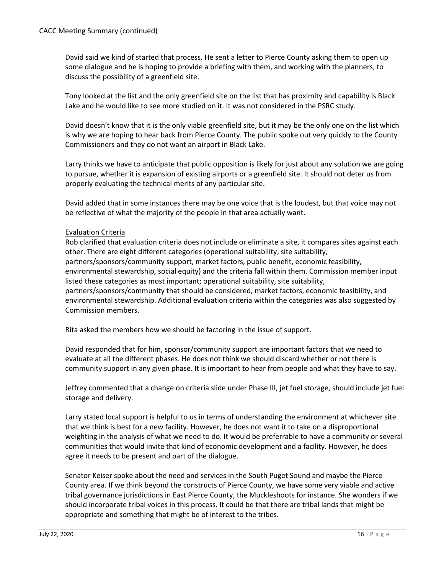David said we kind of started that process. He sent a letter to Pierce County asking them to open up some dialogue and he is hoping to provide a briefing with them, and working with the planners, to discuss the possibility of a greenfield site.

Tony looked at the list and the only greenfield site on the list that has proximity and capability is Black Lake and he would like to see more studied on it. It was not considered in the PSRC study.

David doesn't know that it is the only viable greenfield site, but it may be the only one on the list which is why we are hoping to hear back from Pierce County. The public spoke out very quickly to the County Commissioners and they do not want an airport in Black Lake.

Larry thinks we have to anticipate that public opposition is likely for just about any solution we are going to pursue, whether it is expansion of existing airports or a greenfield site. It should not deter us from properly evaluating the technical merits of any particular site.

David added that in some instances there may be one voice that is the loudest, but that voice may not be reflective of what the majority of the people in that area actually want.

# Evaluation Criteria

Rob clarified that evaluation criteria does not include or eliminate a site, it compares sites against each other. There are eight different categories (operational suitability, site suitability, partners/sponsors/community support, market factors, public benefit, economic feasibility, environmental stewardship, social equity) and the criteria fall within them. Commission member input listed these categories as most important; operational suitability, site suitability, partners/sponsors/community that should be considered, market factors, economic feasibility, and environmental stewardship. Additional evaluation criteria within the categories was also suggested by Commission members.

Rita asked the members how we should be factoring in the issue of support.

David responded that for him, sponsor/community support are important factors that we need to evaluate at all the different phases. He does not think we should discard whether or not there is community support in any given phase. It is important to hear from people and what they have to say.

Jeffrey commented that a change on criteria slide under Phase III, jet fuel storage, should include jet fuel storage and delivery.

Larry stated local support is helpful to us in terms of understanding the environment at whichever site that we think is best for a new facility. However, he does not want it to take on a disproportional weighting in the analysis of what we need to do. It would be preferrable to have a community or several communities that would invite that kind of economic development and a facility. However, he does agree it needs to be present and part of the dialogue.

Senator Keiser spoke about the need and services in the South Puget Sound and maybe the Pierce County area. If we think beyond the constructs of Pierce County, we have some very viable and active tribal governance jurisdictions in East Pierce County, the Muckleshoots for instance. She wonders if we should incorporate tribal voices in this process. It could be that there are tribal lands that might be appropriate and something that might be of interest to the tribes.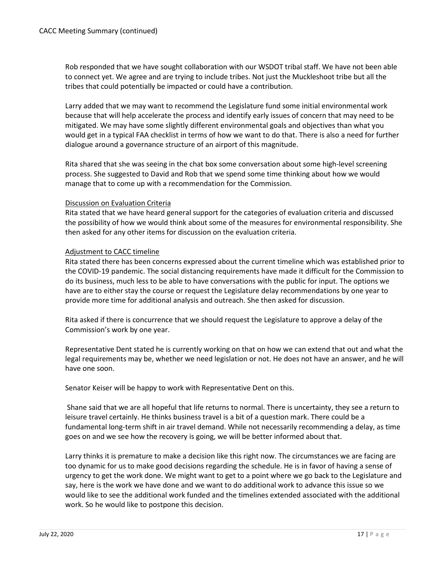Rob responded that we have sought collaboration with our WSDOT tribal staff. We have not been able to connect yet. We agree and are trying to include tribes. Not just the Muckleshoot tribe but all the tribes that could potentially be impacted or could have a contribution.

Larry added that we may want to recommend the Legislature fund some initial environmental work because that will help accelerate the process and identify early issues of concern that may need to be mitigated. We may have some slightly different environmental goals and objectives than what you would get in a typical FAA checklist in terms of how we want to do that. There is also a need for further dialogue around a governance structure of an airport of this magnitude.

Rita shared that she was seeing in the chat box some conversation about some high-level screening process. She suggested to David and Rob that we spend some time thinking about how we would manage that to come up with a recommendation for the Commission.

### Discussion on Evaluation Criteria

Rita stated that we have heard general support for the categories of evaluation criteria and discussed the possibility of how we would think about some of the measures for environmental responsibility. She then asked for any other items for discussion on the evaluation criteria.

### Adjustment to CACC timeline

Rita stated there has been concerns expressed about the current timeline which was established prior to the COVID-19 pandemic. The social distancing requirements have made it difficult for the Commission to do its business, much less to be able to have conversations with the public for input. The options we have are to either stay the course or request the Legislature delay recommendations by one year to provide more time for additional analysis and outreach. She then asked for discussion.

Rita asked if there is concurrence that we should request the Legislature to approve a delay of the Commission's work by one year.

Representative Dent stated he is currently working on that on how we can extend that out and what the legal requirements may be, whether we need legislation or not. He does not have an answer, and he will have one soon.

Senator Keiser will be happy to work with Representative Dent on this.

Shane said that we are all hopeful that life returns to normal. There is uncertainty, they see a return to leisure travel certainly. He thinks business travel is a bit of a question mark. There could be a fundamental long-term shift in air travel demand. While not necessarily recommending a delay, as time goes on and we see how the recovery is going, we will be better informed about that.

Larry thinks it is premature to make a decision like this right now. The circumstances we are facing are too dynamic for us to make good decisions regarding the schedule. He is in favor of having a sense of urgency to get the work done. We might want to get to a point where we go back to the Legislature and say, here is the work we have done and we want to do additional work to advance this issue so we would like to see the additional work funded and the timelines extended associated with the additional work. So he would like to postpone this decision.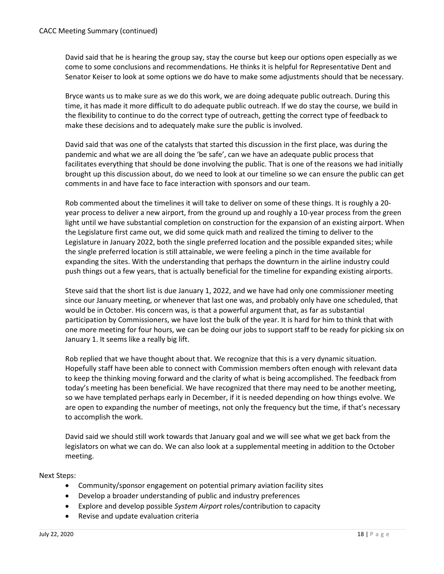David said that he is hearing the group say, stay the course but keep our options open especially as we come to some conclusions and recommendations. He thinks it is helpful for Representative Dent and Senator Keiser to look at some options we do have to make some adjustments should that be necessary.

Bryce wants us to make sure as we do this work, we are doing adequate public outreach. During this time, it has made it more difficult to do adequate public outreach. If we do stay the course, we build in the flexibility to continue to do the correct type of outreach, getting the correct type of feedback to make these decisions and to adequately make sure the public is involved.

David said that was one of the catalysts that started this discussion in the first place, was during the pandemic and what we are all doing the 'be safe', can we have an adequate public process that facilitates everything that should be done involving the public. That is one of the reasons we had initially brought up this discussion about, do we need to look at our timeline so we can ensure the public can get comments in and have face to face interaction with sponsors and our team.

Rob commented about the timelines it will take to deliver on some of these things. It is roughly a 20 year process to deliver a new airport, from the ground up and roughly a 10-year process from the green light until we have substantial completion on construction for the expansion of an existing airport. When the Legislature first came out, we did some quick math and realized the timing to deliver to the Legislature in January 2022, both the single preferred location and the possible expanded sites; while the single preferred location is still attainable, we were feeling a pinch in the time available for expanding the sites. With the understanding that perhaps the downturn in the airline industry could push things out a few years, that is actually beneficial for the timeline for expanding existing airports.

Steve said that the short list is due January 1, 2022, and we have had only one commissioner meeting since our January meeting, or whenever that last one was, and probably only have one scheduled, that would be in October. His concern was, is that a powerful argument that, as far as substantial participation by Commissioners, we have lost the bulk of the year. It is hard for him to think that with one more meeting for four hours, we can be doing our jobs to support staff to be ready for picking six on January 1. It seems like a really big lift.

Rob replied that we have thought about that. We recognize that this is a very dynamic situation. Hopefully staff have been able to connect with Commission members often enough with relevant data to keep the thinking moving forward and the clarity of what is being accomplished. The feedback from today's meeting has been beneficial. We have recognized that there may need to be another meeting, so we have templated perhaps early in December, if it is needed depending on how things evolve. We are open to expanding the number of meetings, not only the frequency but the time, if that's necessary to accomplish the work.

David said we should still work towards that January goal and we will see what we get back from the legislators on what we can do. We can also look at a supplemental meeting in addition to the October meeting.

Next Steps:

- Community/sponsor engagement on potential primary aviation facility sites
- Develop a broader understanding of public and industry preferences
- Explore and develop possible *System Airport* roles/contribution to capacity
- Revise and update evaluation criteria